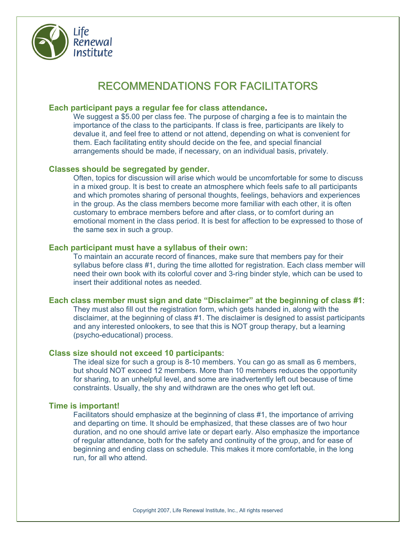

# RECOMMENDATIONS FOR FACILITATORS

## **Each participant pays a regular fee for class attendance.**

We suggest a \$5.00 per class fee. The purpose of charging a fee is to maintain the importance of the class to the participants. If class is free, participants are likely to devalue it, and feel free to attend or not attend, depending on what is convenient for them. Each facilitating entity should decide on the fee, and special financial arrangements should be made, if necessary, on an individual basis, privately.

## **Classes should be segregated by gender.**

Often, topics for discussion will arise which would be uncomfortable for some to discuss in a mixed group. It is best to create an atmosphere which feels safe to all participants and which promotes sharing of personal thoughts, feelings, behaviors and experiences in the group. As the class members become more familiar with each other, it is often customary to embrace members before and after class, or to comfort during an emotional moment in the class period. It is best for affection to be expressed to those of the same sex in such a group.

## **Each participant must have a syllabus of their own:**

To maintain an accurate record of finances, make sure that members pay for their syllabus before class #1, during the time allotted for registration. Each class member will need their own book with its colorful cover and 3-ring binder style, which can be used to insert their additional notes as needed.

## **Each class member must sign and date "Disclaimer" at the beginning of class #1**:

They must also fill out the registration form, which gets handed in, along with the disclaimer, at the beginning of class #1. The disclaimer is designed to assist participants and any interested onlookers, to see that this is NOT group therapy, but a learning (psycho-educational) process.

## **Class size should not exceed 10 participants**:

The ideal size for such a group is 8-10 members. You can go as small as 6 members, but should NOT exceed 12 members. More than 10 members reduces the opportunity for sharing, to an unhelpful level, and some are inadvertently left out because of time constraints. Usually, the shy and withdrawn are the ones who get left out.

#### **Time is important!**

Facilitators should emphasize at the beginning of class #1, the importance of arriving and departing on time. It should be emphasized, that these classes are of two hour duration, and no one should arrive late or depart early. Also emphasize the importance of regular attendance, both for the safety and continuity of the group, and for ease of beginning and ending class on schedule. This makes it more comfortable, in the long run, for all who attend.